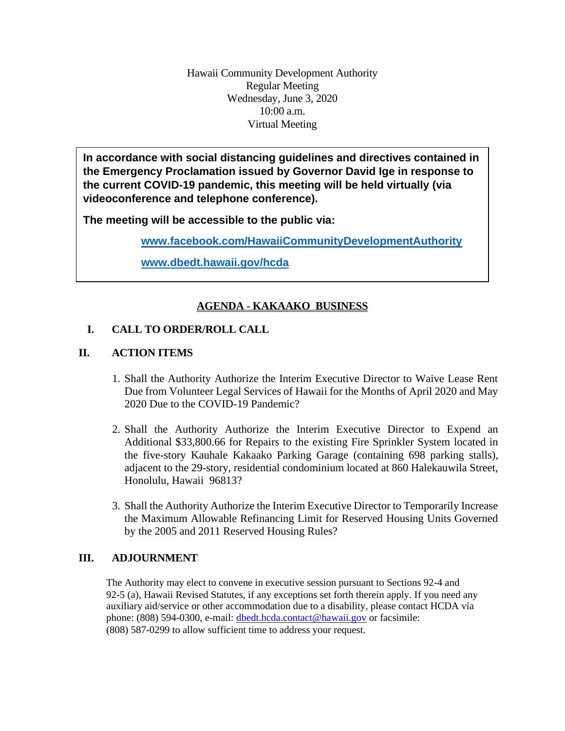Hawaii Community Development Authority Regular Meeting Wednesday, June 3, 2020 10:00 a.m. Virtual Meeting

**In accordance with social distancing guidelines and directives contained in the Emergency Proclamation issued by Governor David Ige in response to the current COVID-19 pandemic, this meeting will be held virtually (via videoconference and telephone conference).**

**The meeting will be accessible to the public via:**

**[www.facebook.com/HawaiiCommunityDevelopmentAuthority](http://www.facebook.com/HawaiiCommunityDevelopmentAuthority)**

**[www.dbedt.hawaii.gov/hcda](http://www.dbedt.hawaii.gov/hcda)**

# **AGENDA - KAKAAKO BUSINESS**

### **I. CALL TO ORDER/ROLL CALL**

## **II. ACTION ITEMS**

- 1. Shall the Authority Authorize the Interim Executive Director to Waive Lease Rent Due from Volunteer Legal Services of Hawaii for the Months of April 2020 and May 2020 Due to the COVID-19 Pandemic?
- 2. Shall the Authority Authorize the Interim Executive Director to Expend an Additional \$33,800.66 for Repairs to the existing Fire Sprinkler System located in the five-story Kauhale Kakaako Parking Garage (containing 698 parking stalls), adjacent to the 29-story, residential condominium located at 860 Halekauwila Street, Honolulu, Hawaii 96813?
- 3. Shall the Authority Authorize the Interim Executive Director to Temporarily Increase the Maximum Allowable Refinancing Limit for Reserved Housing Units Governed by the 2005 and 2011 Reserved Housing Rules?

### **III. ADJOURNMENT**

The Authority may elect to convene in executive session pursuant to Sections 92-4 and 92-5 (a), Hawaii Revised Statutes, if any exceptions set forth therein apply. If you need any auxiliary aid/service or other accommodation due to a disability, please contact HCDA via phone: (808) 594-0300, e-mail: dbedt.hcda.contact@hawaii.gov or facsimile: (808) 587-0299 to allow sufficient time to address your request.